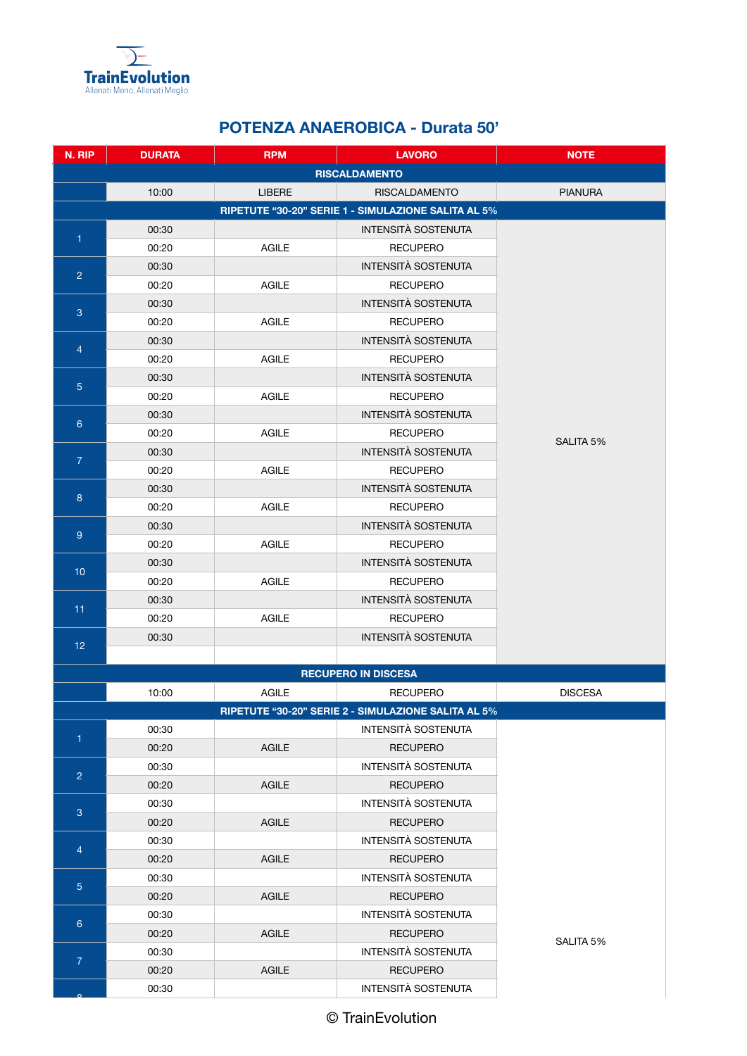

## **POTENZA ANAEROBICA - Durata 50'**

| N. RIP                                              | <b>DURATA</b>              | <b>RPM</b>    | <b>LAVORO</b>                                 | <b>NOTE</b>    |  |  |  |
|-----------------------------------------------------|----------------------------|---------------|-----------------------------------------------|----------------|--|--|--|
|                                                     | <b>RISCALDAMENTO</b>       |               |                                               |                |  |  |  |
|                                                     | 10:00                      | <b>LIBERE</b> | <b>RISCALDAMENTO</b>                          | <b>PIANURA</b> |  |  |  |
| RIPETUTE "30-20" SERIE 1 - SIMULAZIONE SALITA AL 5% |                            |               |                                               |                |  |  |  |
| 1                                                   | 00:30                      |               | <b>INTENSITÀ SOSTENUTA</b>                    |                |  |  |  |
|                                                     | 00:20                      | <b>AGILE</b>  | <b>RECUPERO</b>                               |                |  |  |  |
| $\overline{2}$                                      | 00:30                      |               | <b>INTENSITÀ SOSTENUTA</b>                    |                |  |  |  |
|                                                     | 00:20                      | AGILE         | <b>RECUPERO</b>                               |                |  |  |  |
| 3                                                   | 00:30                      |               | INTENSITÀ SOSTENUTA                           |                |  |  |  |
|                                                     | 00:20                      | AGILE         | <b>RECUPERO</b>                               |                |  |  |  |
| $\overline{4}$                                      | 00:30                      |               | INTENSITÀ SOSTENUTA                           |                |  |  |  |
|                                                     | 00:20                      | <b>AGILE</b>  | <b>RECUPERO</b>                               |                |  |  |  |
| 5 <sup>5</sup>                                      | 00:30                      |               | INTENSITÀ SOSTENUTA                           |                |  |  |  |
|                                                     | 00:20                      | <b>AGILE</b>  | <b>RECUPERO</b>                               |                |  |  |  |
| $6\phantom{a}$                                      | 00:30                      |               | <b>INTENSITÀ SOSTENUTA</b>                    |                |  |  |  |
|                                                     | 00:20                      | <b>AGILE</b>  | <b>RECUPERO</b>                               | SALITA 5%      |  |  |  |
| $\overline{7}$                                      | 00:30                      |               | <b>INTENSITÀ SOSTENUTA</b>                    |                |  |  |  |
|                                                     | 00:20                      | <b>AGILE</b>  | <b>RECUPERO</b>                               |                |  |  |  |
| 8                                                   | 00:30                      |               | <b>INTENSITÀ SOSTENUTA</b>                    |                |  |  |  |
|                                                     | 00:20                      | <b>AGILE</b>  | <b>RECUPERO</b>                               |                |  |  |  |
| 9                                                   | 00:30                      |               | <b>INTENSITÀ SOSTENUTA</b>                    |                |  |  |  |
|                                                     | 00:20                      | <b>AGILE</b>  | <b>RECUPERO</b>                               |                |  |  |  |
| 10                                                  | 00:30                      |               | <b>INTENSITÀ SOSTENUTA</b>                    |                |  |  |  |
|                                                     | 00:20                      | AGILE         | <b>RECUPERO</b>                               |                |  |  |  |
| 11                                                  | 00:30                      |               | INTENSITÀ SOSTENUTA                           |                |  |  |  |
|                                                     | 00:20<br>00:30             | AGILE         | <b>RECUPERO</b><br><b>INTENSITÀ SOSTENUTA</b> |                |  |  |  |
| 12 <sub>2</sub>                                     |                            |               |                                               |                |  |  |  |
|                                                     | <b>RECUPERO IN DISCESA</b> |               |                                               |                |  |  |  |
|                                                     | 10:00                      | AGILE         | <b>RECUPERO</b>                               | <b>DISCESA</b> |  |  |  |
| RIPETUTE "30-20" SERIE 2 - SIMULAZIONE SALITA AL 5% |                            |               |                                               |                |  |  |  |
| 1                                                   | 00:30                      |               | INTENSITÀ SOSTENUTA                           |                |  |  |  |
|                                                     | 00:20                      | <b>AGILE</b>  | <b>RECUPERO</b>                               |                |  |  |  |
| $\overline{2}$                                      | 00:30                      |               | INTENSITÀ SOSTENUTA                           |                |  |  |  |
|                                                     | 00:20                      | <b>AGILE</b>  | <b>RECUPERO</b>                               |                |  |  |  |
| $\mathbf{3}$                                        | 00:30                      |               | INTENSITÀ SOSTENUTA                           |                |  |  |  |
|                                                     | 00:20                      | <b>AGILE</b>  | <b>RECUPERO</b>                               |                |  |  |  |
| $\overline{4}$                                      | 00:30                      |               | <b>INTENSITÀ SOSTENUTA</b>                    |                |  |  |  |
|                                                     | 00:20                      | <b>AGILE</b>  | <b>RECUPERO</b>                               |                |  |  |  |
| $\overline{5}$                                      | 00:30                      |               | INTENSITÀ SOSTENUTA                           |                |  |  |  |
|                                                     | 00:20                      | <b>AGILE</b>  | <b>RECUPERO</b>                               |                |  |  |  |
| 6 <sup>°</sup>                                      | 00:30                      |               | INTENSITÀ SOSTENUTA                           |                |  |  |  |
|                                                     | 00:20                      | <b>AGILE</b>  | <b>RECUPERO</b>                               | SALITA 5%      |  |  |  |
| $\overline{7}$                                      | 00:30                      |               | INTENSITÀ SOSTENUTA                           |                |  |  |  |
|                                                     | 00:20                      | <b>AGILE</b>  | <b>RECUPERO</b>                               |                |  |  |  |
|                                                     | 00:30                      |               | INTENSITÀ SOSTENUTA                           |                |  |  |  |